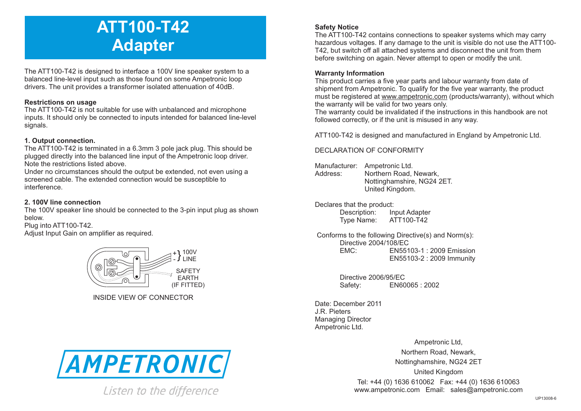# **ATT100-T42 Adapter**

The ATT100-T42 is designed to interface a 100V line speaker system to a balanced line-level input such as those found on some Ampetronic loop drivers. The unit provides a transformer isolated attenuation of 40dB.

### **Restrictions on usage**

The ATT100-T42 is not suitable for use with unbalanced and microphone inputs. It should only be connected to inputs intended for balanced line-level signals.

### **1. Output connection.**

The ATT100-T42 is terminated in a 6.3mm 3 pole jack plug. This should be plugged directly into the balanced line input of the Ampetronic loop driver. Note the restrictions listed above.

Under no circumstances should the output be extended, not even using a screened cable. The extended connection would be susceptible to interference.

## **2. 100V line connection**

The 100V speaker line should be connected to the 3-pin input plug as shown below.

Plug into ATT100-T42.

Adjust Input Gain on amplifier as required.



INSIDE VIEW OF CONNECTOR



Listen to the difference

# **Safety Notice**

The ATT100-T42 contains connections to speaker systems which may carry hazardous voltages. If any damage to the unit is visible do not use the ATT100- T42, but switch off all attached systems and disconnect the unit from them before switching on again. Never attempt to open or modify the unit.

### **Warranty Information**

This product carries a five year parts and labour warranty from date of shipment from Ampetronic. To qualify for the five year warranty, the product must be registered at www.ampetronic.com (products/warranty), without which the warranty will be valid for two years only.

The warranty could be invalidated if the instructions in this handbook are not followed correctly, or if the unit is misused in any way.

ATT100-T42 is designed and manufactured in England by Ampetronic Ltd.

### DECLARATION OF CONFORMITY

- Manufacturer: Ampetronic Ltd. Address: Northern Road, Newark, Nottinghamshire, NG24 2ET. United Kingdom.
- Declares that the product:<br>Description: In

**Input Adapter** Type Name: ATT100-T42

Conforms to the following Directive(s) and Norm(s): Directive 2004/108/EC<br>EMC: FN551 EMC: EN55103-1 : 2009 Emission EN55103-2 : 2009 Immunity

> Directive 2006/95/EC Safety: EN60065 : 2002

Date: December 2011 J.R. Pieters Managing Director Ampetronic Ltd.

> Ampetronic Ltd, Northern Road, Newark, Nottinghamshire, NG24 2ET United Kingdom Tel: +44 (0) 1636 610062 Fax: +44 (0) 1636 610063 www.ampetronic.com Email: sales@ampetronic.com